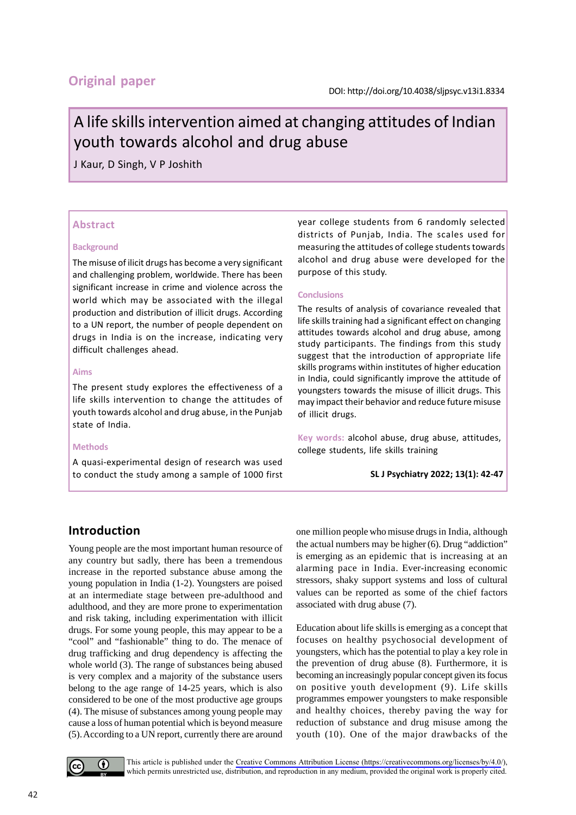# **Original paper**

# A life skills intervention aimed at changing attitudes of Indian youth towards alcohol and drug abuse

J Kaur, D Singh, V P Joshith

#### **Abstract**

#### **Background**

The misuse of ilicit drugs has become a very significant and challenging problem, worldwide. There has been significant increase in crime and violence across the world which may be associated with the illegal production and distribution of illicit drugs. According to a UN report, the number of people dependent on drugs in India is on the increase, indicating very difficult challenges ahead.

#### **Aims**

The present study explores the effectiveness of a life skills intervention to change the attitudes of youth towards alcohol and drug abuse, in the Punjab state of India.

#### **Methods**

A quasi-experimental design of research was used to conduct the study among a sample of 1000 first year college students from 6 randomly selected districts of Punjab, India. The scales used for measuring the attitudes of college students towards alcohol and drug abuse were developed for the purpose of this study.

#### **Conclusions**

The results of analysis of covariance revealed that life skills training had a significant effect on changing attitudes towards alcohol and drug abuse, among study participants. The findings from this study suggest that the introduction of appropriate life skills programs within institutes of higher education in India, could significantly improve the attitude of youngsters towards the misuse of illicit drugs. This may impact their behavior and reduce future misuse of illicit drugs.

**Key words:** alcohol abuse, drug abuse, attitudes, college students, life skills training

**SL J Psychiatry 2022; 13(1): 42-47**

## **Introduction**

Young people are the most important human resource of any country but sadly, there has been a tremendous increase in the reported substance abuse among the young population in India (1-2). Youngsters are poised at an intermediate stage between pre-adulthood and adulthood, and they are more prone to experimentation and risk taking, including experimentation with illicit drugs. For some young people, this may appear to be a "cool" and "fashionable" thing to do. The menace of drug trafficking and drug dependency is affecting the whole world (3). The range of substances being abused is very complex and a majority of the substance users belong to the age range of 14-25 years, which is also considered to be one of the most productive age groups (4). The misuse of substances among young people may cause a loss of human potential which is beyond measure (5). According to a UN report, currently there are around one million people who misuse drugs in India, although the actual numbers may be higher (6). Drug "addiction" is emerging as an epidemic that is increasing at an alarming pace in India. Ever-increasing economic stressors, shaky support systems and loss of cultural values can be reported as some of the chief factors associated with drug abuse (7).

Education about life skills is emerging as a concept that focuses on healthy psychosocial development of youngsters, which has the potential to play a key role in the prevention of drug abuse (8). Furthermore, it is becoming an increasingly popular concept given its focus on positive youth development (9). Life skills programmes empower youngsters to make responsible and healthy choices, thereby paving the way for reduction of substance and drug misuse among the youth (10). One of the major drawbacks of the



This article is published under the [Creative Commons Attribution License \(https://creativecommons.org/licenses/by/4.0](https://creativecommons.org/licenses/by/4.0/)/), which permits unrestricted use, distribution, and reproduction in any medium, provided the original work is properly cited.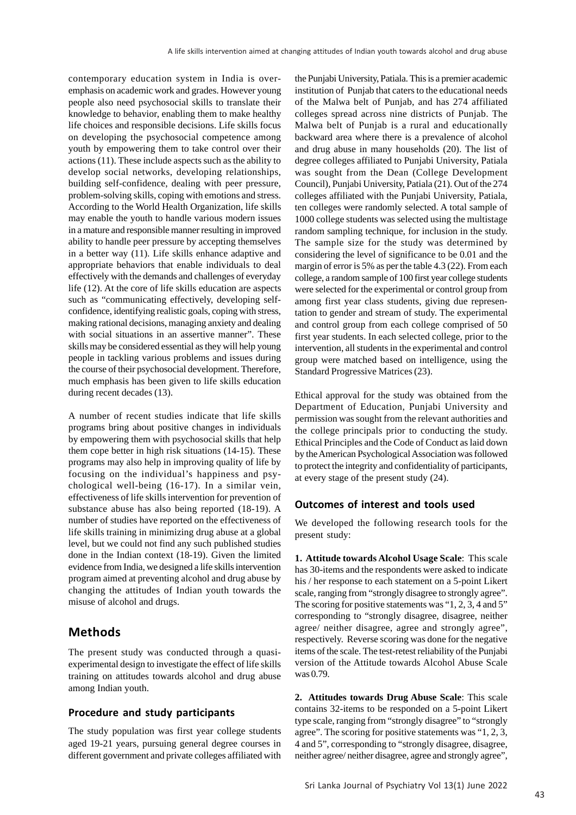contemporary education system in India is overemphasis on academic work and grades. However young people also need psychosocial skills to translate their knowledge to behavior, enabling them to make healthy life choices and responsible decisions. Life skills focus on developing the psychosocial competence among youth by empowering them to take control over their actions (11). These include aspects such as the ability to develop social networks, developing relationships, building self-confidence, dealing with peer pressure, problem-solving skills, coping with emotions and stress. According to the World Health Organization, life skills may enable the youth to handle various modern issues in a mature and responsible manner resulting in improved ability to handle peer pressure by accepting themselves in a better way (11). Life skills enhance adaptive and appropriate behaviors that enable individuals to deal effectively with the demands and challenges of everyday life (12). At the core of life skills education are aspects such as "communicating effectively, developing selfconfidence, identifying realistic goals, coping with stress, making rational decisions, managing anxiety and dealing with social situations in an assertive manner". These skills may be considered essential as they will help young people in tackling various problems and issues during the course of their psychosocial development. Therefore, much emphasis has been given to life skills education during recent decades (13).

A number of recent studies indicate that life skills programs bring about positive changes in individuals by empowering them with psychosocial skills that help them cope better in high risk situations (14-15). These programs may also help in improving quality of life by focusing on the individual's happiness and psychological well-being (16-17). In a similar vein, effectiveness of life skills intervention for prevention of substance abuse has also being reported (18-19). A number of studies have reported on the effectiveness of life skills training in minimizing drug abuse at a global level, but we could not find any such published studies done in the Indian context (18-19). Given the limited evidence from India, we designed a life skills intervention program aimed at preventing alcohol and drug abuse by changing the attitudes of Indian youth towards the misuse of alcohol and drugs.

# **Methods**

The present study was conducted through a quasiexperimental design to investigate the effect of life skills training on attitudes towards alcohol and drug abuse among Indian youth.

#### **Procedure and study participants**

The study population was first year college students aged 19-21 years, pursuing general degree courses in different government and private colleges affiliated with

the Punjabi University, Patiala. This is a premier academic institution of Punjab that caters to the educational needs of the Malwa belt of Punjab, and has 274 affiliated colleges spread across nine districts of Punjab. The Malwa belt of Punjab is a rural and educationally backward area where there is a prevalence of alcohol and drug abuse in many households (20). The list of degree colleges affiliated to Punjabi University, Patiala was sought from the Dean (College Development Council), Punjabi University, Patiala (21). Out of the 274 colleges affiliated with the Punjabi University, Patiala, ten colleges were randomly selected. A total sample of 1000 college students was selected using the multistage random sampling technique, for inclusion in the study. The sample size for the study was determined by considering the level of significance to be 0.01 and the margin of error is 5% as per the table 4.3 (22). From each college, a random sample of 100 first year college students were selected for the experimental or control group from among first year class students, giving due representation to gender and stream of study. The experimental and control group from each college comprised of 50 first year students. In each selected college, prior to the intervention, all students in the experimental and control group were matched based on intelligence, using the Standard Progressive Matrices (23).

Ethical approval for the study was obtained from the Department of Education, Punjabi University and permission was sought from the relevant authorities and the college principals prior to conducting the study. Ethical Principles and the Code of Conduct as laid down by the American Psychological Association was followed to protect the integrity and confidentiality of participants, at every stage of the present study (24).

#### **Outcomes of interest and tools used**

We developed the following research tools for the present study:

**1. Attitude towards Alcohol Usage Scale**: This scale has 30-items and the respondents were asked to indicate his / her response to each statement on a 5-point Likert scale, ranging from "strongly disagree to strongly agree". The scoring for positive statements was "1, 2, 3, 4 and 5" corresponding to "strongly disagree, disagree, neither agree/ neither disagree, agree and strongly agree", respectively. Reverse scoring was done for the negative items of the scale. The test-retest reliability of the Punjabi version of the Attitude towards Alcohol Abuse Scale was 0.79.

**2. Attitudes towards Drug Abuse Scale**: This scale contains 32-items to be responded on a 5-point Likert type scale, ranging from "strongly disagree" to "strongly agree". The scoring for positive statements was "1, 2, 3, 4 and 5", corresponding to "strongly disagree, disagree, neither agree/ neither disagree, agree and strongly agree",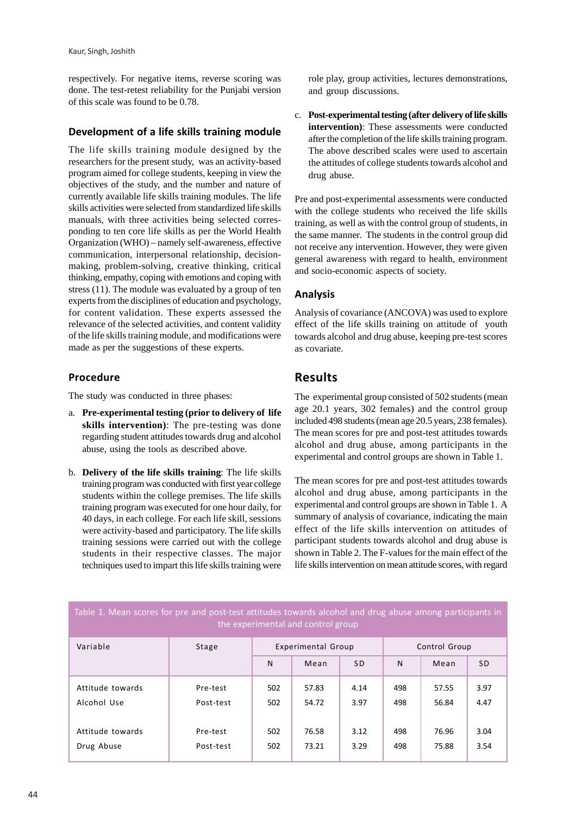respectively. For negative items, reverse scoring was done. The test-retest reliability for the Punjabi version of this scale was found to be 0.78.

#### **Development of a life skills training module**

The life skills training module designed by the researchers for the present study, was an activity-based program aimed for college students, keeping in view the objectives of the study, and the number and nature of currently available life skills training modules. The life skills activities were selected from standardized life skills manuals, with three activities being selected corresponding to ten core life skills as per the World Health Organization (WHO) – namely self-awareness, effective communication, interpersonal relationship, decisionmaking, problem-solving, creative thinking, critical thinking, empathy, coping with emotions and coping with stress (11). The module was evaluated by a group of ten experts from the disciplines of education and psychology, for content validation. These experts assessed the relevance of the selected activities, and content validity of the life skills training module, and modifications were made as per the suggestions of these experts.

#### **Procedure**

The study was conducted in three phases:

- a. **Pre-experimental testing (prior to delivery of life skills intervention)**: The pre-testing was done regarding student attitudes towards drug and alcohol abuse, using the tools as described above.
- b. **Delivery of the life skills training**: The life skills training program was conducted with first year college students within the college premises. The life skills training program was executed for one hour daily, for 40 days, in each college. For each life skill, sessions were activity-based and participatory. The life skills training sessions were carried out with the college students in their respective classes. The major techniques used to impart this life skills training were

role play, group activities, lectures demonstrations, and group discussions.

c. **Post-experimental testing (after delivery of life skills intervention)**: These assessments were conducted after the completion of the life skills training program. The above described scales were used to ascertain the attitudes of college students towards alcohol and drug abuse.

Pre and post-experimental assessments were conducted with the college students who received the life skills training, as well as with the control group of students, in the same manner. The students in the control group did not receive any intervention. However, they were given general awareness with regard to health, environment and socio-economic aspects of society.

## **Analysis**

Analysis of covariance (ANCOVA) was used to explore effect of the life skills training on attitude of youth towards alcohol and drug abuse, keeping pre-test scores as covariate.

# **Results**

The experimental group consisted of 502 students (mean age 20.1 years, 302 females) and the control group included 498 students (mean age 20.5 years, 238 females). The mean scores for pre and post-test attitudes towards alcohol and drug abuse, among participants in the experimental and control groups are shown in Table 1.

The mean scores for pre and post-test attitudes towards alcohol and drug abuse, among participants in the experimental and control groups are shown in Table 1. A summary of analysis of covariance, indicating the main effect of the life skills intervention on attitudes of participant students towards alcohol and drug abuse is shown in Table 2. The F-values for the main effect of the life skills intervention on mean attitude scores, with regard

| the experimental and control group |           |                    |       |           |               |       |           |
|------------------------------------|-----------|--------------------|-------|-----------|---------------|-------|-----------|
| Variable                           | Stage     | Experimental Group |       |           | Control Group |       |           |
|                                    |           | N                  | Mean  | <b>SD</b> | N             | Mean  | <b>SD</b> |
| Attitude towards                   | Pre-test  | 502                | 57.83 | 4.14      | 498           | 57.55 | 3.97      |
| Alcohol Use                        | Post-test | 502                | 54.72 | 3.97      | 498           | 56.84 | 4.47      |
| Attitude towards                   | Pre-test  | 502                | 76.58 | 3.12      | 498           | 76.96 | 3.04      |
| Drug Abuse                         | Post-test | 502                | 73.21 | 3.29      | 498           | 75.88 | 3.54      |

# Table 1. Mean scores for pre and post-test attitudes towards alcohol and drug abuse among participants in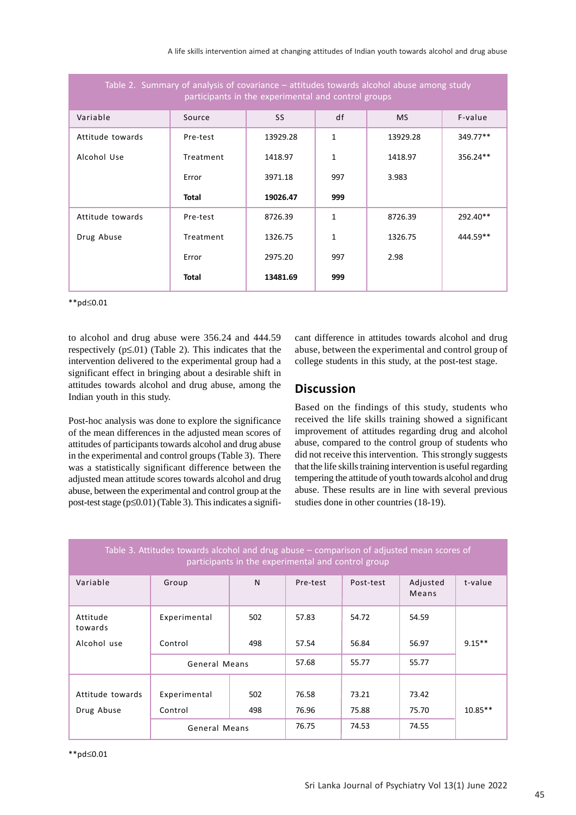| Table 2. Summary of analysis of covariance - attitudes towards alcohol abuse among study<br>participants in the experimental and control groups |           |          |              |           |          |  |  |
|-------------------------------------------------------------------------------------------------------------------------------------------------|-----------|----------|--------------|-----------|----------|--|--|
| Variable                                                                                                                                        | Source    | SS       | df           | <b>MS</b> | F-value  |  |  |
| Attitude towards                                                                                                                                | Pre-test  | 13929.28 | $\mathbf{1}$ | 13929.28  | 349.77** |  |  |
| Alcohol Use                                                                                                                                     | Treatment | 1418.97  | 1            | 1418.97   | 356.24** |  |  |
|                                                                                                                                                 | Error     | 3971.18  | 997          | 3.983     |          |  |  |
|                                                                                                                                                 | Total     | 19026.47 | 999          |           |          |  |  |
| Attitude towards                                                                                                                                | Pre-test  | 8726.39  | 1            | 8726.39   | 292.40** |  |  |
| Drug Abuse                                                                                                                                      | Treatment | 1326.75  | $\mathbf{1}$ | 1326.75   | 444.59** |  |  |
|                                                                                                                                                 | Error     | 2975.20  | 997          | 2.98      |          |  |  |
|                                                                                                                                                 | Total     | 13481.69 | 999          |           |          |  |  |

\*\*pd≤0.01

to alcohol and drug abuse were 356.24 and 444.59 respectively  $(p \le 01)$  (Table 2). This indicates that the intervention delivered to the experimental group had a significant effect in bringing about a desirable shift in attitudes towards alcohol and drug abuse, among the Indian youth in this study.

Post-hoc analysis was done to explore the significance of the mean differences in the adjusted mean scores of attitudes of participants towards alcohol and drug abuse in the experimental and control groups (Table 3). There was a statistically significant difference between the adjusted mean attitude scores towards alcohol and drug abuse, between the experimental and control group at the post-test stage (p≤0.01) (Table 3). This indicates a significant difference in attitudes towards alcohol and drug abuse, between the experimental and control group of college students in this study, at the post-test stage.

# **Discussion**

Based on the findings of this study, students who received the life skills training showed a significant improvement of attitudes regarding drug and alcohol abuse, compared to the control group of students who did not receive this intervention. This strongly suggests that the life skills training intervention is useful regarding tempering the attitude of youth towards alcohol and drug abuse. These results are in line with several previous studies done in other countries (18-19).

| Table 3. Attitudes towards alcohol and drug abuse - comparison of adjusted mean scores of<br>participants in the experimental and control group |                         |            |                |                |                   |           |  |
|-------------------------------------------------------------------------------------------------------------------------------------------------|-------------------------|------------|----------------|----------------|-------------------|-----------|--|
| Variable                                                                                                                                        | Group                   | N          | Pre-test       | Post-test      | Adjusted<br>Means | t-value   |  |
| Attitude<br>towards                                                                                                                             | Experimental            | 502        | 57.83          | 54.72          | 54.59             |           |  |
| Alcohol use                                                                                                                                     | Control                 | 498        | 57.54          | 56.84          | 56.97             | $9.15**$  |  |
|                                                                                                                                                 | General Means           |            | 57.68          | 55.77          | 55.77             |           |  |
| Attitude towards<br>Drug Abuse                                                                                                                  | Experimental<br>Control | 502<br>498 | 76.58<br>76.96 | 73.21<br>75.88 | 73.42<br>75.70    | $10.85**$ |  |
|                                                                                                                                                 | General Means           |            | 76.75          | 74.53          | 74.55             |           |  |

\*\*pd≤0.01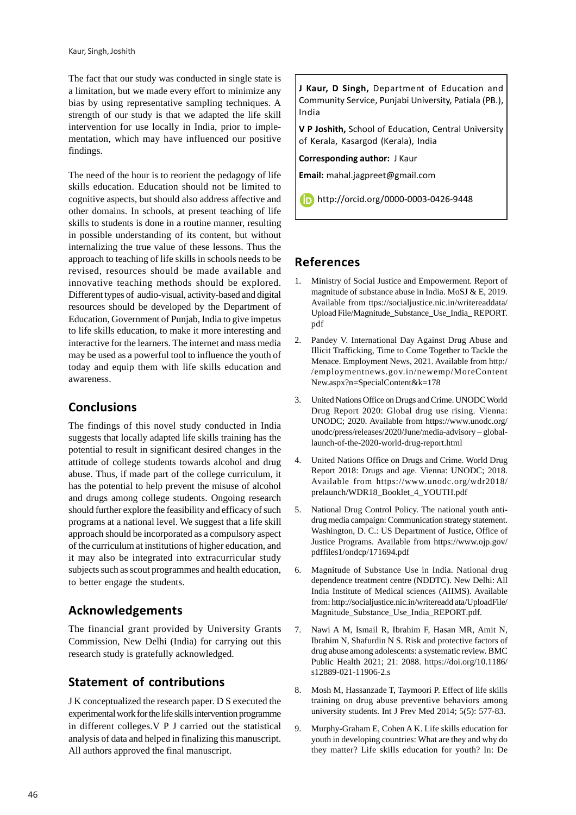The fact that our study was conducted in single state is a limitation, but we made every effort to minimize any bias by using representative sampling techniques. A strength of our study is that we adapted the life skill intervention for use locally in India, prior to implementation, which may have influenced our positive findings.

The need of the hour is to reorient the pedagogy of life skills education. Education should not be limited to cognitive aspects, but should also address affective and other domains. In schools, at present teaching of life skills to students is done in a routine manner, resulting in possible understanding of its content, but without internalizing the true value of these lessons. Thus the approach to teaching of life skills in schools needs to be revised, resources should be made available and innovative teaching methods should be explored. Different types of audio-visual, activity-based and digital resources should be developed by the Department of Education, Government of Punjab, India to give impetus to life skills education, to make it more interesting and interactive for the learners. The internet and mass media may be used as a powerful tool to influence the youth of today and equip them with life skills education and awareness.

# **Conclusions**

The findings of this novel study conducted in India suggests that locally adapted life skills training has the potential to result in significant desired changes in the attitude of college students towards alcohol and drug abuse. Thus, if made part of the college curriculum, it has the potential to help prevent the misuse of alcohol and drugs among college students. Ongoing research should further explore the feasibility and efficacy of such programs at a national level. We suggest that a life skill approach should be incorporated as a compulsory aspect of the curriculum at institutions of higher education, and it may also be integrated into extracurricular study subjects such as scout programmes and health education, to better engage the students.

# **Acknowledgements**

The financial grant provided by University Grants Commission, New Delhi (India) for carrying out this research study is gratefully acknowledged.

# **Statement of contributions**

J K conceptualized the research paper. D S executed the experimental work for the life skills intervention programme in different colleges.V P J carried out the statistical analysis of data and helped in finalizing this manuscript. All authors approved the final manuscript.

**J Kaur, D Singh,** Department of Education and Community Service, Punjabi University, Patiala (PB.), India

**V P Joshith,** School of Education, Central University of Kerala, Kasargod (Kerala), India

**Corresponding author:** J Kaur

**Email:** mahal.jagpreet@gmail.com

http://orcid.org/0000-0003-0426-9448

# **References**

- 1. Ministry of Social Justice and Empowerment. Report of magnitude of substance abuse in India. MoSJ & E, 2019. Available from ttps://socialjustice.nic.in/writereaddata/ Upload File/Magnitude\_Substance\_Use\_India\_ REPORT. pdf
- 2. Pandey V. International Day Against Drug Abuse and Illicit Trafficking, Time to Come Together to Tackle the Menace. Employment News, 2021. Available from http:/ /employmentnews.gov.in/newemp/MoreContent New.aspx?n=SpecialContent&k=178
- 3. United Nations Office on Drugs and Crime. UNODC World Drug Report 2020: Global drug use rising. Vienna: UNODC; 2020. Available from https://www.unodc.org/ unodc/press/releases/2020/June/media-advisory – globallaunch-of-the-2020-world-drug-report.html
- 4. United Nations Office on Drugs and Crime. World Drug Report 2018: Drugs and age. Vienna: UNODC; 2018. Available from https://www.unodc.org/wdr2018/ prelaunch/WDR18\_Booklet\_4\_YOUTH.pdf
- 5. National Drug Control Policy. The national youth antidrug media campaign: Communication strategy statement. Washington, D. C.: US Department of Justice, Office of Justice Programs. Available from https://www.ojp.gov/ pdffiles1/ondcp/171694.pdf
- 6. Magnitude of Substance Use in India. National drug dependence treatment centre (NDDTC). New Delhi: All India Institute of Medical sciences (AIIMS). Available from: http://socialjustice.nic.in/writereadd ata/UploadFile/ Magnitude\_Substance\_Use\_India\_REPORT.pdf.
- 7. Nawi A M, Ismail R, Ibrahim F, Hasan MR, Amit N, Ibrahim N, Shafurdin N S. Risk and protective factors of drug abuse among adolescents: a systematic review. BMC Public Health 2021; 21: 2088. https://doi.org/10.1186/ s12889-021-11906-2.s
- 8. Mosh M, Hassanzade T, Taymoori P. Effect of life skills training on drug abuse preventive behaviors among university students. Int J Prev Med 2014; 5(5): 577-83.
- 9. Murphy-Graham E, Cohen A K. Life skills education for youth in developing countries: What are they and why do they matter? Life skills education for youth? In: De